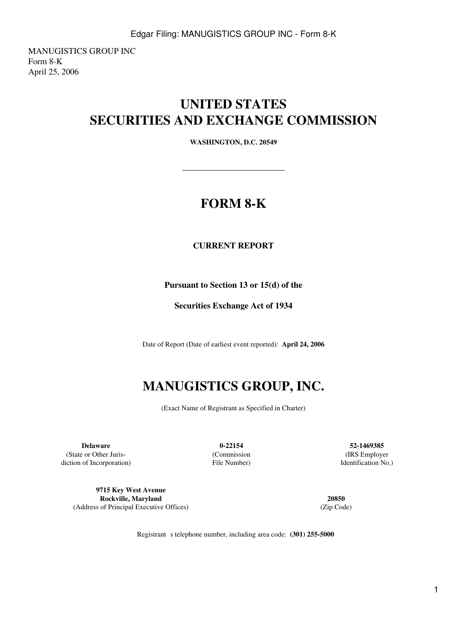MANUGISTICS GROUP INC Form 8-K April 25, 2006

## **UNITED STATES SECURITIES AND EXCHANGE COMMISSION**

**WASHINGTON, D.C. 20549**

## **FORM 8-K**

## **CURRENT REPORT**

**Pursuant to Section 13 or 15(d) of the**

**Securities Exchange Act of 1934**

Date of Report (Date of earliest event reported): **April 24, 2006**

# **MANUGISTICS GROUP, INC.**

(Exact Name of Registrant as Specified in Charter)

**Delaware 0-22154 52-1469385** (State or Other Jurisdiction of Incorporation)

(Commission File Number)

(IRS Employer Identification No.)

**9715 Key West Avenue Rockville, Maryland 20850** (Address of Principal Executive Offices) (Zip Code)

Registrant s telephone number, including area code: **(301) 255-5000**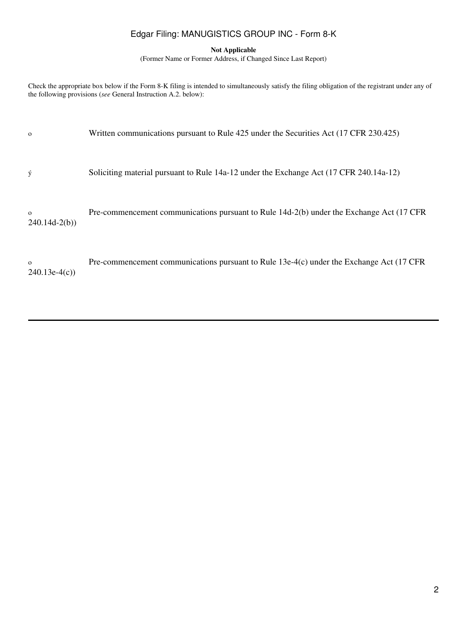#### **Not Applicable**

(Former Name or Former Address, if Changed Since Last Report)

Check the appropriate box below if the Form 8-K filing is intended to simultaneously satisfy the filing obligation of the registrant under any of the following provisions (*see* General Instruction A.2. below):

| $\mathbf{O}$               | Written communications pursuant to Rule 425 under the Securities Act (17 CFR 230.425)               |
|----------------------------|-----------------------------------------------------------------------------------------------------|
| ý                          | Soliciting material pursuant to Rule 14a-12 under the Exchange Act (17 CFR 240.14a-12)              |
| $\Omega$<br>$240.14d-2(b)$ | Pre-commencement communications pursuant to Rule 14d-2(b) under the Exchange Act (17 CFR            |
| $\Omega$<br>$240.13e-4(c)$ | Pre-commencement communications pursuant to Rule 13e-4(c) under the Exchange Act $(17 \text{ CFR})$ |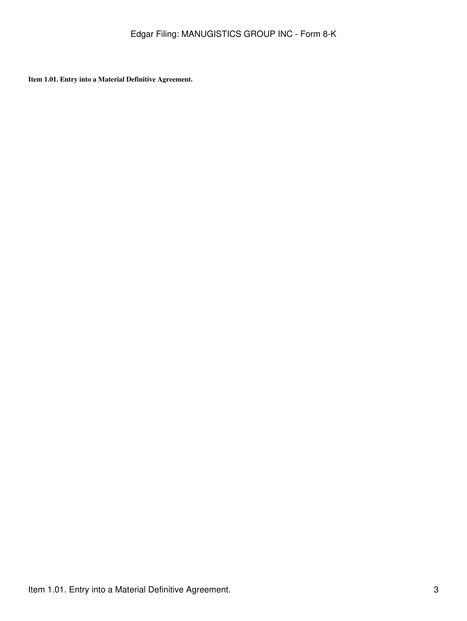**Item 1.01. Entry into a Material Definitive Agreement.**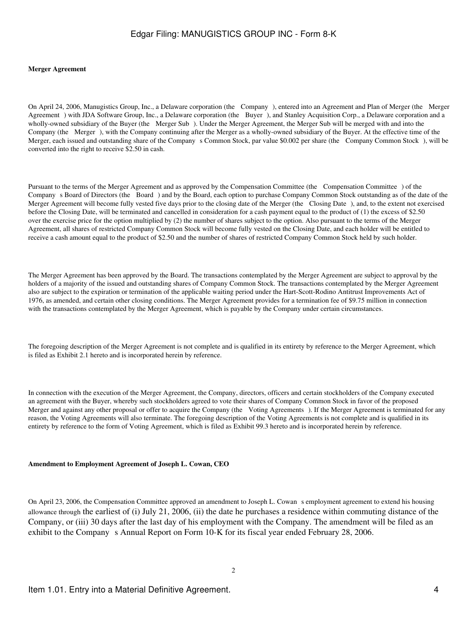#### **Merger Agreement**

On April 24, 2006, Manugistics Group, Inc., a Delaware corporation (the Company), entered into an Agreement and Plan of Merger (the Merger Agreement) with JDA Software Group, Inc., a Delaware corporation (the Buyer), and Stanley Acquisition Corp., a Delaware corporation and a wholly-owned subsidiary of the Buyer (the Merger Sub). Under the Merger Agreement, the Merger Sub will be merged with and into the Company (the Merger), with the Company continuing after the Merger as a wholly-owned subsidiary of the Buyer. At the effective time of the Merger, each issued and outstanding share of the Company s Common Stock, par value \$0.002 per share (the Company Common Stock), will be converted into the right to receive \$2.50 in cash.

Pursuant to the terms of the Merger Agreement and as approved by the Compensation Committee (the Compensation Committee) of the Companys Board of Directors (the Board) and by the Board, each option to purchase Company Common Stock outstanding as of the date of the Merger Agreement will become fully vested five days prior to the closing date of the Merger (the Closing Date), and, to the extent not exercised before the Closing Date, will be terminated and cancelled in consideration for a cash payment equal to the product of (1) the excess of \$2.50 over the exercise price for the option multiplied by (2) the number of shares subject to the option. Also pursuant to the terms of the Merger Agreement, all shares of restricted Company Common Stock will become fully vested on the Closing Date, and each holder will be entitled to receive a cash amount equal to the product of \$2.50 and the number of shares of restricted Company Common Stock held by such holder.

The Merger Agreement has been approved by the Board. The transactions contemplated by the Merger Agreement are subject to approval by the holders of a majority of the issued and outstanding shares of Company Common Stock. The transactions contemplated by the Merger Agreement also are subject to the expiration or termination of the applicable waiting period under the Hart-Scott-Rodino Antitrust Improvements Act of 1976, as amended, and certain other closing conditions. The Merger Agreement provides for a termination fee of \$9.75 million in connection with the transactions contemplated by the Merger Agreement, which is payable by the Company under certain circumstances.

The foregoing description of the Merger Agreement is not complete and is qualified in its entirety by reference to the Merger Agreement, which is filed as Exhibit 2.1 hereto and is incorporated herein by reference.

In connection with the execution of the Merger Agreement, the Company, directors, officers and certain stockholders of the Company executed an agreement with the Buyer, whereby such stockholders agreed to vote their shares of Company Common Stock in favor of the proposed Merger and against any other proposal or offer to acquire the Company (the Voting Agreements). If the Merger Agreement is terminated for any reason, the Voting Agreements will also terminate. The foregoing description of the Voting Agreements is not complete and is qualified in its entirety by reference to the form of Voting Agreement, which is filed as Exhibit 99.3 hereto and is incorporated herein by reference.

#### **Amendment to Employment Agreement of Joseph L. Cowan, CEO**

On April 23, 2006, the Compensation Committee approved an amendment to Joseph L. Cowan s employment agreement to extend his housing allowance through the earliest of (i) July 21, 2006, (ii) the date he purchases a residence within commuting distance of the Company, or (iii) 30 days after the last day of his employment with the Company. The amendment will be filed as an exhibit to the Company s Annual Report on Form 10-K for its fiscal year ended February 28, 2006.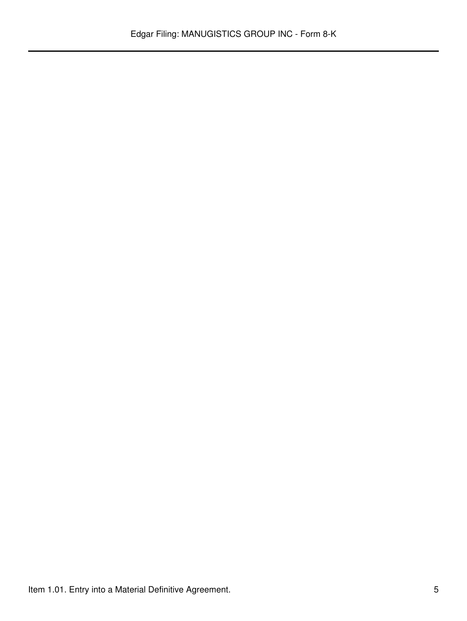Item 1.01. Entry into a Material Definitive Agreement. 6 1999 11:38:39 12:39 13:39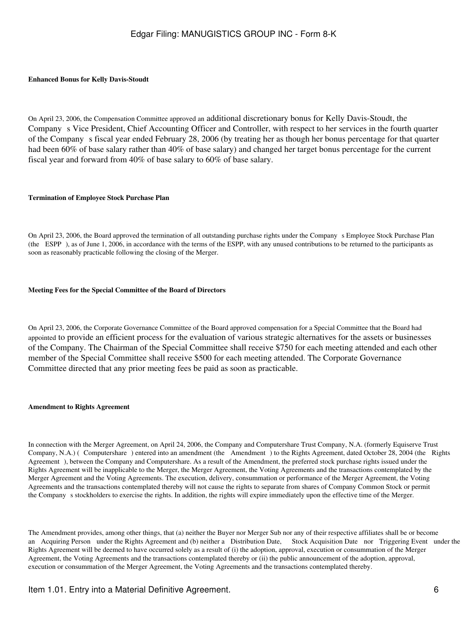#### **Enhanced Bonus for Kelly Davis-Stoudt**

On April 23, 2006, the Compensation Committee approved an additional discretionary bonus for Kelly Davis-Stoudt, the Companys Vice President, Chief Accounting Officer and Controller, with respect to her services in the fourth quarter of the Companys fiscal year ended February 28, 2006 (by treating her as though her bonus percentage for that quarter had been 60% of base salary rather than 40% of base salary) and changed her target bonus percentage for the current fiscal year and forward from 40% of base salary to 60% of base salary.

#### **Termination of Employee Stock Purchase Plan**

On April 23, 2006, the Board approved the termination of all outstanding purchase rights under the Companys Employee Stock Purchase Plan (the ESPP), as of June 1, 2006, in accordance with the terms of the ESPP, with any unused contributions to be returned to the participants as soon as reasonably practicable following the closing of the Merger.

#### **Meeting Fees for the Special Committee of the Board of Directors**

On April 23, 2006, the Corporate Governance Committee of the Board approved compensation for a Special Committee that the Board had appointed to provide an efficient process for the evaluation of various strategic alternatives for the assets or businesses of the Company. The Chairman of the Special Committee shall receive \$750 for each meeting attended and each other member of the Special Committee shall receive \$500 for each meeting attended. The Corporate Governance Committee directed that any prior meeting fees be paid as soon as practicable.

#### **Amendment to Rights Agreement**

In connection with the Merger Agreement, on April 24, 2006, the Company and Computershare Trust Company, N.A. (formerly Equiserve Trust Company, N.A.) (Computershare) entered into an amendment (the Amendment) to the Rights Agreement, dated October 28, 2004 (the Rights Agreement), between the Company and Computershare. As a result of the Amendment, the preferred stock purchase rights issued under the Rights Agreement will be inapplicable to the Merger, the Merger Agreement, the Voting Agreements and the transactions contemplated by the Merger Agreement and the Voting Agreements. The execution, delivery, consummation or performance of the Merger Agreement, the Voting Agreements and the transactions contemplated thereby will not cause the rights to separate from shares of Company Common Stock or permit the Company s stockholders to exercise the rights. In addition, the rights will expire immediately upon the effective time of the Merger.

The Amendment provides, among other things, that (a) neither the Buyer nor Merger Sub nor any of their respective affiliates shall be or become an Acquiring Person under the Rights Agreement and (b) neither a Distribution Date, Stock Acquisition Date nor Triggering Event under the Rights Agreement will be deemed to have occurred solely as a result of (i) the adoption, approval, execution or consummation of the Merger Agreement, the Voting Agreements and the transactions contemplated thereby or (ii) the public announcement of the adoption, approval, execution or consummation of the Merger Agreement, the Voting Agreements and the transactions contemplated thereby.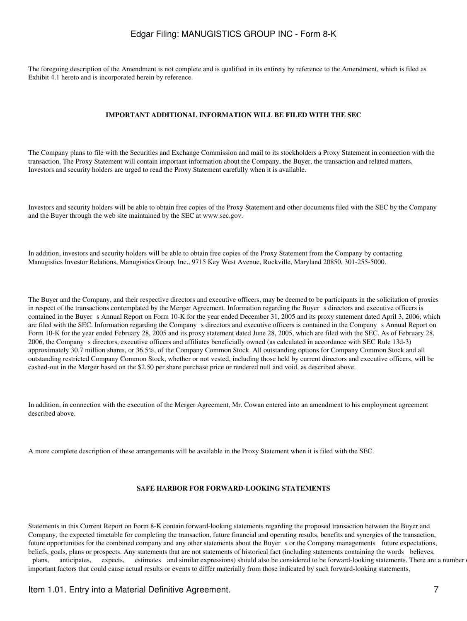The foregoing description of the Amendment is not complete and is qualified in its entirety by reference to the Amendment, which is filed as Exhibit 4.1 hereto and is incorporated herein by reference.

#### **IMPORTANT ADDITIONAL INFORMATION WILL BE FILED WITH THE SEC**

The Company plans to file with the Securities and Exchange Commission and mail to its stockholders a Proxy Statement in connection with the transaction. The Proxy Statement will contain important information about the Company, the Buyer, the transaction and related matters. Investors and security holders are urged to read the Proxy Statement carefully when it is available.

Investors and security holders will be able to obtain free copies of the Proxy Statement and other documents filed with the SEC by the Company and the Buyer through the web site maintained by the SEC at www.sec.gov.

In addition, investors and security holders will be able to obtain free copies of the Proxy Statement from the Company by contacting Manugistics Investor Relations, Manugistics Group, Inc., 9715 Key West Avenue, Rockville, Maryland 20850, 301-255-5000.

The Buyer and the Company, and their respective directors and executive officers, may be deemed to be participants in the solicitation of proxies in respect of the transactions contemplated by the Merger Agreement. Information regarding the Buyer s directors and executive officers is contained in the Buyer s Annual Report on Form 10-K for the year ended December 31, 2005 and its proxy statement dated April 3, 2006, which are filed with the SEC. Information regarding the Companys directors and executive officers is contained in the Companys Annual Report on Form 10-K for the year ended February 28, 2005 and its proxy statement dated June 28, 2005, which are filed with the SEC. As of February 28, 2006, the Companys directors, executive officers and affiliates beneficially owned (as calculated in accordance with SEC Rule 13d-3) approximately 30.7 million shares, or 36.5%, of the Company Common Stock. All outstanding options for Company Common Stock and all outstanding restricted Company Common Stock, whether or not vested, including those held by current directors and executive officers, will be cashed-out in the Merger based on the \$2.50 per share purchase price or rendered null and void, as described above.

In addition, in connection with the execution of the Merger Agreement, Mr. Cowan entered into an amendment to his employment agreement described above.

A more complete description of these arrangements will be available in the Proxy Statement when it is filed with the SEC.

#### **SAFE HARBOR FOR FORWARD-LOOKING STATEMENTS**

Statements in this Current Report on Form 8-K contain forward-looking statements regarding the proposed transaction between the Buyer and Company, the expected timetable for completing the transaction, future financial and operating results, benefits and synergies of the transaction, future opportunities for the combined company and any other statements about the Buyer s or the Company managements future expectations, beliefs, goals, plans or prospects. Any statements that are not statements of historical fact (including statements containing the words believes, plans, anticipates, expects, estimates and similar expressions) should also be considered to be forward-looking statements. There are a number important factors that could cause actual results or events to differ materially from those indicated by such forward-looking statements,

Item 1.01. Entry into a Material Definitive Agreement. The contract of the contract of the contract of the contract of the contract of the contract of the contract of the contract of the contract of the contract of the con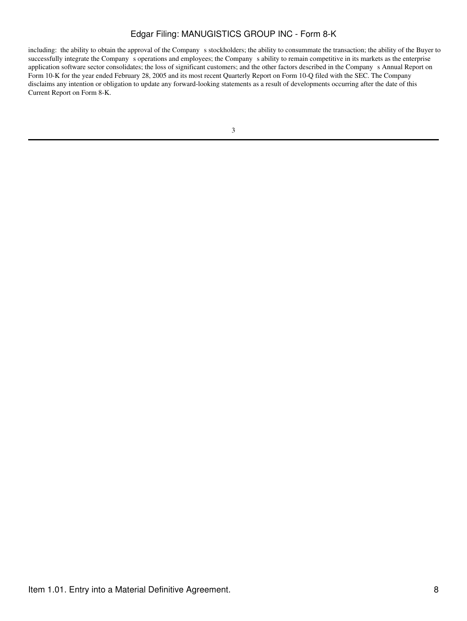including: the ability to obtain the approval of the Company s stockholders; the ability to consummate the transaction; the ability of the Buyer to successfully integrate the Company s operations and employees; the Company s ability to remain competitive in its markets as the enterprise application software sector consolidates; the loss of significant customers; and the other factors described in the Company s Annual Report on Form 10-K for the year ended February 28, 2005 and its most recent Quarterly Report on Form 10-Q filed with the SEC. The Company disclaims any intention or obligation to update any forward-looking statements as a result of developments occurring after the date of this Current Report on Form 8-K.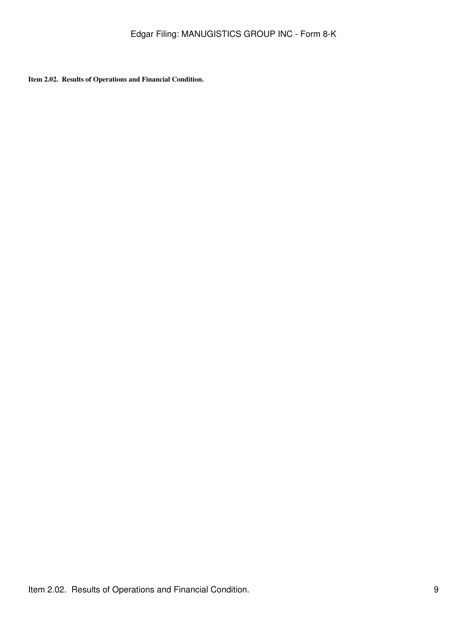**Item 2.02. Results of Operations and Financial Condition.**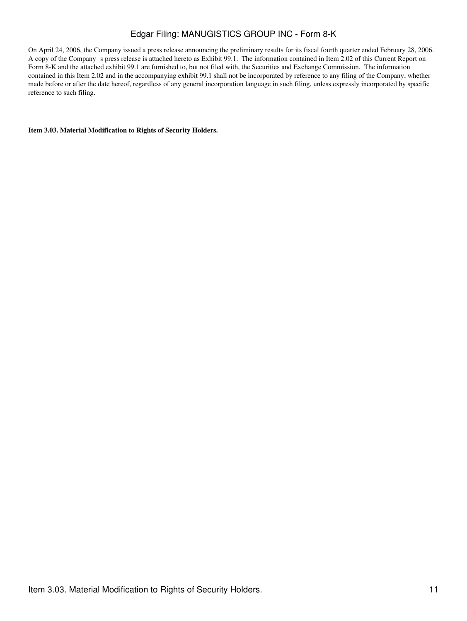On April 24, 2006, the Company issued a press release announcing the preliminary results for its fiscal fourth quarter ended February 28, 2006. A copy of the Companys press release is attached hereto as Exhibit 99.1. The information contained in Item 2.02 of this Current Report on Form 8-K and the attached exhibit 99.1 are furnished to, but not filed with, the Securities and Exchange Commission. The information contained in this Item 2.02 and in the accompanying exhibit 99.1 shall not be incorporated by reference to any filing of the Company, whether made before or after the date hereof, regardless of any general incorporation language in such filing, unless expressly incorporated by specific reference to such filing.

**Item 3.03. Material Modification to Rights of Security Holders.**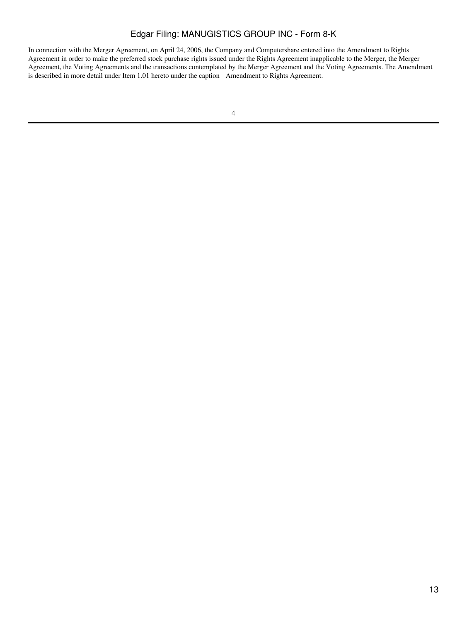In connection with the Merger Agreement, on April 24, 2006, the Company and Computershare entered into the Amendment to Rights Agreement in order to make the preferred stock purchase rights issued under the Rights Agreement inapplicable to the Merger, the Merger Agreement, the Voting Agreements and the transactions contemplated by the Merger Agreement and the Voting Agreements. The Amendment is described in more detail under Item 1.01 hereto under the caption Amendment to Rights Agreement.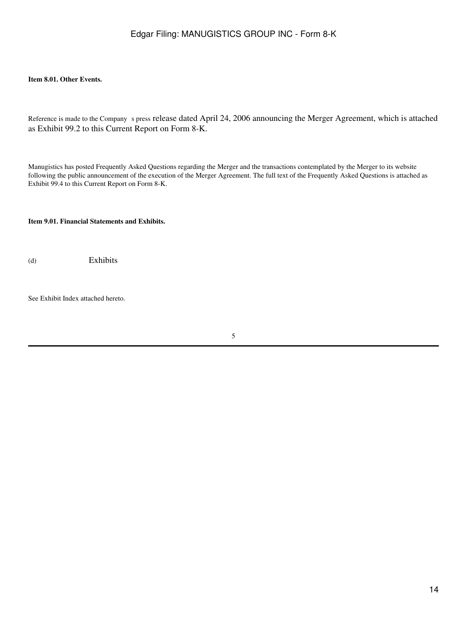#### **Item 8.01. Other Events.**

Reference is made to the Company s press release dated April 24, 2006 announcing the Merger Agreement, which is attached as Exhibit 99.2 to this Current Report on Form 8-K.

Manugistics has posted Frequently Asked Questions regarding the Merger and the transactions contemplated by the Merger to its website following the public announcement of the execution of the Merger Agreement. The full text of the Frequently Asked Questions is attached as Exhibit 99.4 to this Current Report on Form 8-K.

#### **Item 9.01. Financial Statements and Exhibits.**

(d) Exhibits

See Exhibit Index attached hereto.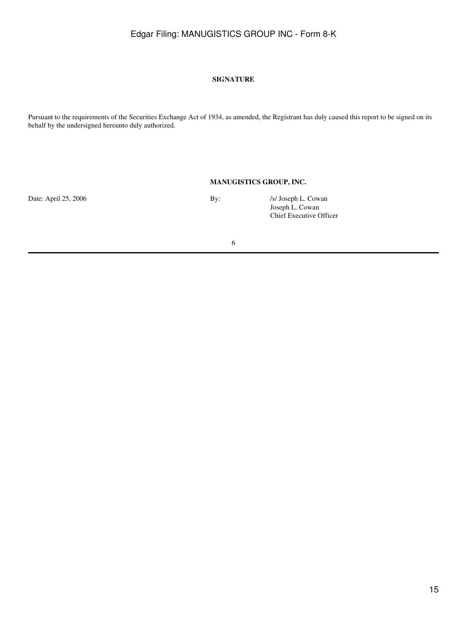#### **SIGNATURE**

Pursuant to the requirements of the Securities Exchange Act of 1934, as amended, the Registrant has duly caused this report to be signed on its behalf by the undersigned hereunto duly authorized.

#### **MANUGISTICS GROUP, INC.**

Date: April 25, 2006 By: /s/ Joseph L. Cowan Joseph L. Cowan Chief Executive Officer